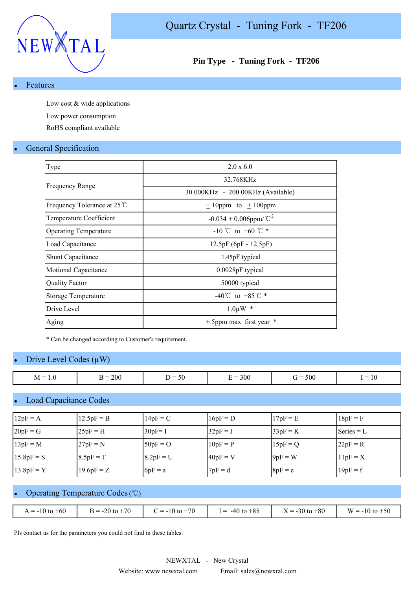

## **Pin Type - Tuning Fork - TF206**

#### **Features**

Low cost & wide applications Low power consumption

RoHS compliant available

### **General Specification**

| Type                         | 2.0 x 6.0                              |
|------------------------------|----------------------------------------|
|                              | 32.768KHz                              |
| <b>Frequency Range</b>       | 30.000KHz - 200.00KHz (Available)      |
| Frequency Tolerance at 25 °C | $\pm$ 10ppm to $\pm$ 100ppm            |
| Temperature Coefficient      | $-0.034 \pm 0.006$ ppm/°C <sup>2</sup> |
| <b>Operating Temperature</b> | $-10$ °C to +60 °C $*$                 |
| Load Capacitance             | $12.5pF(6pF - 12.5pF)$                 |
| <b>Shunt Capacitance</b>     | 1.45pF typical                         |
| Motional Capacitance         | $0.0028pF$ typical                     |
| <b>Quality Factor</b>        | 50000 typical                          |
| <b>Storage Temperature</b>   | -40°C to +85°C $*$                     |
| Drive Level                  | $1.0 \mu W$ *                          |
| Aging                        | $\pm$ 5ppm max first year $*$          |
|                              |                                        |

\* Can be changed according to Customer's requirement.

#### Drive Level Codes  $(\mu W)$

| $M =$<br>1.0 | 200<br>$\mathbf{\mathbf{r}}$<br>$\mathsf R =$<br>ப | $\sim$ $\sim$<br>. –<br>.<br>-90<br>◡ | 300<br>-<br>∸ | 500<br>$\dot{ }$ $=$ | $\overline{\phantom{0}}$<br>$\overline{\phantom{a}}$<br>1 U |
|--------------|----------------------------------------------------|---------------------------------------|---------------|----------------------|-------------------------------------------------------------|

#### **Load Capacitance Codes**

| $12pF = A$   | $12.5pF = B$ | $14pF = C$  | $16pF = D$ | $17pF = E$ | $18pF = F$   |
|--------------|--------------|-------------|------------|------------|--------------|
| $20pF = G$   | $25pF = H$   | $30pF = I$  | $32pF = J$ | $33pF = K$ | Series $= L$ |
| $13pF = M$   | $27pF = N$   | $50pF = O$  | $10pF = P$ | $15pF = Q$ | $22pF = R$   |
| $15.8pF = S$ | $8.5pF = T$  | $8.2pF = U$ | $40pF = V$ | $9pF = W$  | $11pF = X$   |
| $13.8pF = Y$ | $19.6pF = Z$ | $6pF = a$   | $7pF = d$  | $8pF = e$  | $19pF = f$   |

# Operating Temperature Codes (℃)

| $= -10$ to $+60$<br>$\Lambda$ | $+70$<br>$-20$ $^{+}$<br>$=$ | $= -10$ to $+70$ | $-40$ to $+85$<br>$=$ | $-$<br>$\zeta = -30$ to $+80$<br>$\Lambda$ | W<br>$10$ to $\sim$<br>-50<br>$= -10$ |
|-------------------------------|------------------------------|------------------|-----------------------|--------------------------------------------|---------------------------------------|
|                               |                              |                  |                       |                                            |                                       |

Pls contact us for the parameters you could not find in these tables.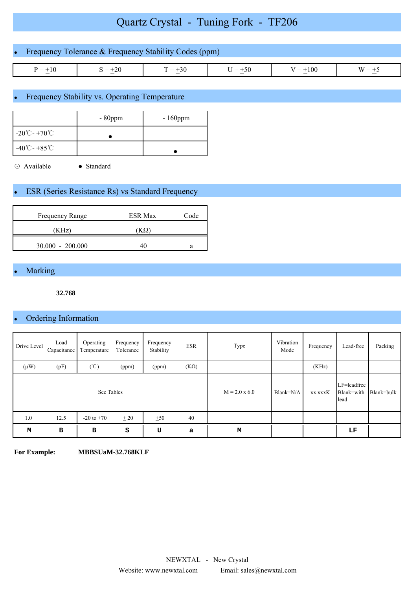# Quartz Crystal - Tuning Fork - TF206

| • Frequency Tolerance $&$ Frequency Stability Codes (ppm) |           |           |           |            |          |  |
|-----------------------------------------------------------|-----------|-----------|-----------|------------|----------|--|
| $P = +10$                                                 | $S = +20$ | $T = +30$ | $U = +50$ | $V = +100$ | $W = +5$ |  |

# Frequency Stability vs. Operating Temperature

|                                                | $-80$ ppm | $-160$ ppm |
|------------------------------------------------|-----------|------------|
| $-20^{\circ}\text{C}$ - +70 $^{\circ}\text{C}$ |           |            |
| $-40^{\circ}$ C - +85 °C                       |           |            |

⊙ Available ● Standard

# **ESR (Series Resistance Rs) vs Standard Frequency**

| <b>Frequency Range</b> | <b>ESR Max</b> | Code |
|------------------------|----------------|------|
| (KHz)                  |                |      |
| $30.000 - 200.000$     |                | a    |

### **Marking**

**32.768**

# • Ordering Information

| Drive Level | Load<br>Capacitance | Operating<br>Temperature | Frequency<br>Tolerance | Frequency<br>Stability | <b>ESR</b>  | Type                 | Vibration<br>Mode | Frequency | Lead-free                         | Packing    |
|-------------|---------------------|--------------------------|------------------------|------------------------|-------------|----------------------|-------------------|-----------|-----------------------------------|------------|
| $(\mu W)$   | (pF)                | $(\degree C)$            | (ppm)                  | (ppm)                  | $(K\Omega)$ |                      |                   | (KHz)     |                                   |            |
|             |                     | See Tables               |                        |                        |             | $M = 2.0 \times 6.0$ | Blank=N/A         | xx.xxxK   | LF=leadfree<br>Blank=with<br>lead | Blank=bulk |
| 1.0         | 12.5                | $-20$ to $+70$           | ± 20                   | ±50                    | 40          |                      |                   |           |                                   |            |
| M           | в                   | B                        | s                      | U                      | a           | М                    |                   |           | LF                                |            |

**For Example: MBBSUaM-32.768KLF**